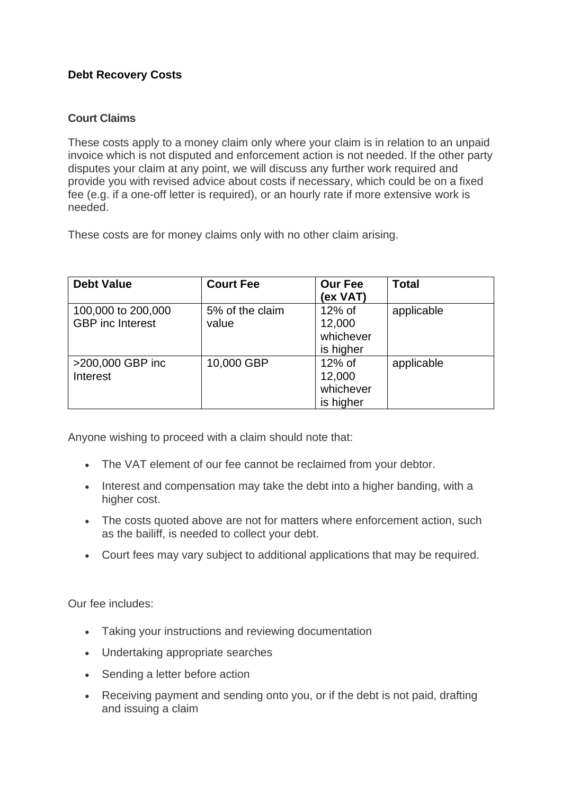## **Debt Recovery Costs**

## **Court Claims**

These costs apply to a money claim only where your claim is in relation to an unpaid invoice which is not disputed and enforcement action is not needed. If the other party disputes your claim at any point, we will discuss any further work required and provide you with revised advice about costs if necessary, which could be on a fixed fee (e.g. if a one-off letter is required), or an hourly rate if more extensive work is needed.

These costs are for money claims only with no other claim arising.

| <b>Debt Value</b>                             | <b>Court Fee</b>         | <b>Our Fee</b><br>(ex VAT)                    | <b>Total</b> |
|-----------------------------------------------|--------------------------|-----------------------------------------------|--------------|
| 100,000 to 200,000<br><b>GBP</b> inc Interest | 5% of the claim<br>value | $12\%$ of<br>12,000<br>whichever<br>is higher | applicable   |
| >200,000 GBP inc<br>Interest                  | 10,000 GBP               | $12\%$ of<br>12,000<br>whichever<br>is higher | applicable   |

Anyone wishing to proceed with a claim should note that:

- The VAT element of our fee cannot be reclaimed from your debtor.
- Interest and compensation may take the debt into a higher banding, with a higher cost.
- The costs quoted above are not for matters where enforcement action, such as the bailiff, is needed to collect your debt.
- Court fees may vary subject to additional applications that may be required.

Our fee includes:

- Taking your instructions and reviewing documentation
- Undertaking appropriate searches
- Sending a letter before action
- Receiving payment and sending onto you, or if the debt is not paid, drafting and issuing a claim